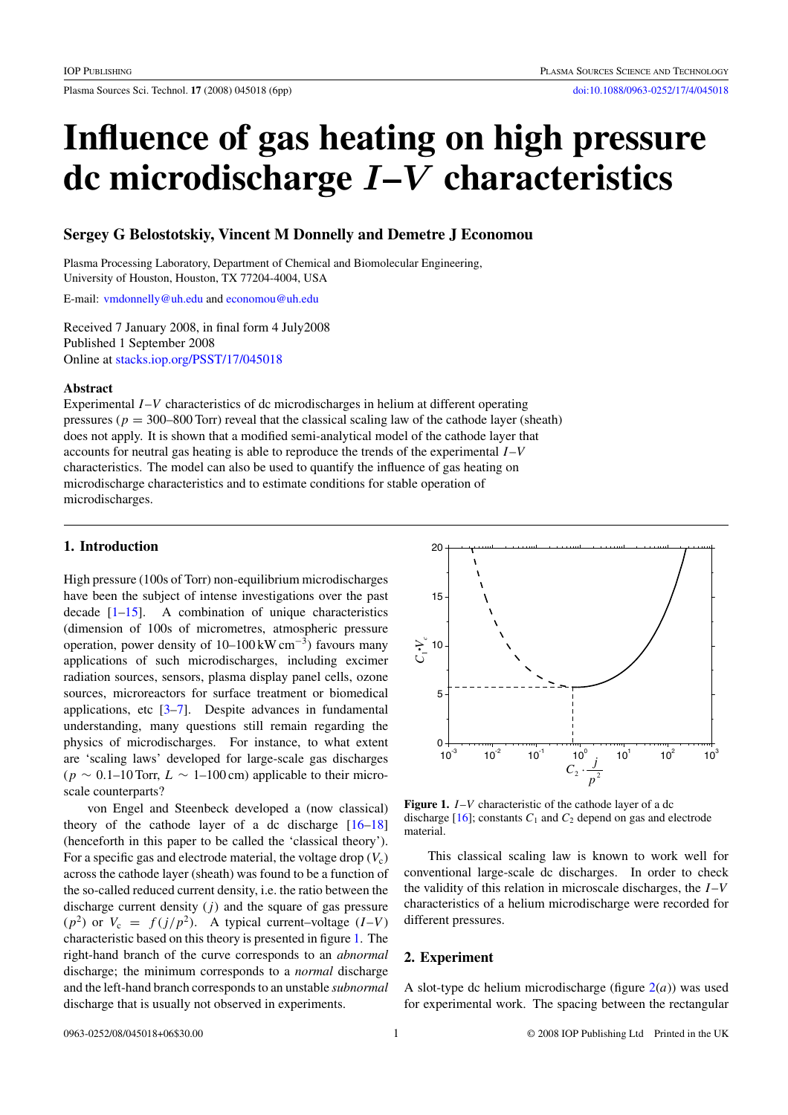<span id="page-0-0"></span>Plasma Sources Sci. Technol. **17** (2008) 045018 (6pp) [doi:10.1088/0963-0252/17/4/045018](http://dx.doi.org/10.1088/0963-0252/17/4/045018)

# **Influence of gas heating on high pressure dc microdischarge** *I***–***V* **characteristics**

# **Sergey G Belostotskiy, Vincent M Donnelly and Demetre J Economou**

Plasma Processing Laboratory, Department of Chemical and Biomolecular Engineering, University of Houston, Houston, TX 77204-4004, USA

E-mail: [vmdonnelly@uh.edu](mailto: vmdonnelly@uh.edu) and [economou@uh.edu](mailto: economou@uh.edu)

Received 7 January 2008, in final form 4 July2008 Published 1 September 2008 Online at [stacks.iop.org/PSST/17/045018](http://stacks.iop.org/PSST/17/045018)

# **Abstract**

Experimental *I*–*V* characteristics of dc microdischarges in helium at different operating pressures ( $p = 300-800$  Torr) reveal that the classical scaling law of the cathode layer (sheath) does not apply. It is shown that a modified semi-analytical model of the cathode layer that accounts for neutral gas heating is able to reproduce the trends of the experimental *I*–*V* characteristics. The model can also be used to quantify the influence of gas heating on microdischarge characteristics and to estimate conditions for stable operation of microdischarges.

# **1. Introduction**

High pressure (100s of Torr) non-equilibrium microdischarges have been the subject of intense investigations over the past decade  $[1-15]$ . A combination of unique characteristics (dimension of 100s of micrometres, atmospheric pressure operation, power density of 10–100 kW cm−3) favours many applications of such microdischarges, including excimer radiation sources, sensors, plasma display panel cells, ozone sources, microreactors for surface treatment or biomedical applications, etc  $[3-7]$ . Despite advances in fundamental understanding, many questions still remain regarding the physics of microdischarges. For instance, to what extent are 'scaling laws' developed for large-scale gas discharges  $(p \sim 0.1$ –10 Torr,  $L \sim 1$ –100 cm) applicable to their microscale counterparts?

von Engel and Steenbeck developed a (now classical) theory of the cathode layer of a dc discharge  $[16-18]$ (henceforth in this paper to be called the 'classical theory'). For a specific gas and electrode material, the voltage drop  $(V_c)$ across the cathode layer (sheath) was found to be a function of the so-called reduced current density, i.e. the ratio between the discharge current density  $(j)$  and the square of gas pressure  $(p^2)$  or  $V_c = f(j/p^2)$ . A typical current–voltage  $(I-V)$ characteristic based on this theory is presented in figure 1. The right-hand branch of the curve corresponds to an *abnormal* discharge; the minimum corresponds to a *normal* discharge and the left-hand branch corresponds to an unstable *subnormal* discharge that is usually not observed in experiments.



**Figure 1.** *I*–*V* characteristic of the cathode layer of a dc discharge  $[16]$ ; constants  $C_1$  and  $C_2$  depend on gas and electrode material.

This classical scaling law is known to work well for conventional large-scale dc discharges. In order to check the validity of this relation in microscale discharges, the *I*–*V* characteristics of a helium microdischarge were recorded for different pressures.

#### **2. Experiment**

A slot-type dc helium microdischarge (figure  $2(a)$  $2(a)$ ) was used for experimental work. The spacing between the rectangular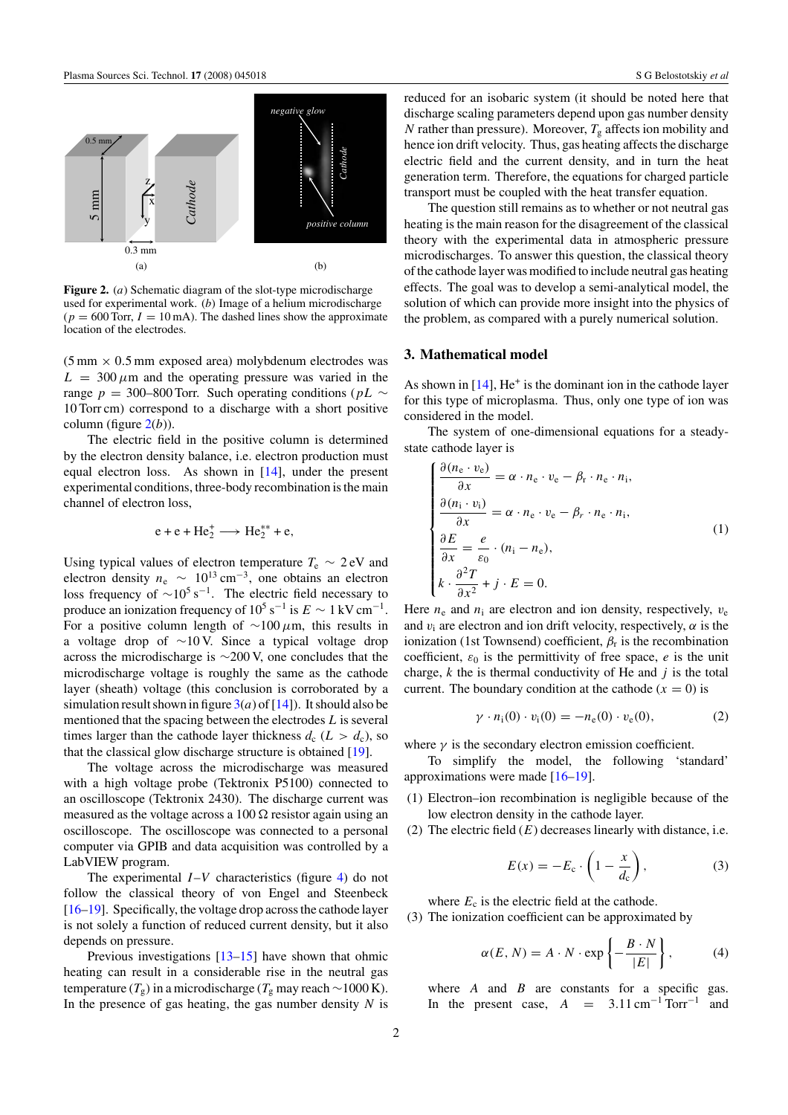<span id="page-1-0"></span>

**Figure 2.** (*a*) Schematic diagram of the slot-type microdischarge used for experimental work. (*b)* Image of a helium microdischarge  $(p = 600$  Torr,  $I = 10$  mA). The dashed lines show the approximate location of the electrodes.

 $(5 \text{ mm} \times 0.5 \text{ mm}$  exposed area) molybdenum electrodes was  $L = 300 \mu m$  and the operating pressure was varied in the range *p* = 300–800 Torr. Such operating conditions (*pL* ∼ 10 Torr cm) correspond to a discharge with a short positive column (figure 2(*b*)).

The electric field in the positive column is determined by the electron density balance, i.e. electron production must equal electron loss. As shown in [\[14\]](#page-5-0), under the present experimental conditions, three-body recombination is the main channel of electron loss,

$$
e + e + He_2^+ \longrightarrow He_2^{**} + e,
$$

Using typical values of electron temperature  $T_e \sim 2$  eV and electron density  $n_e \sim 10^{13}$  cm<sup>-3</sup>, one obtains an electron loss frequency of  $\sim 10^5$  s<sup>-1</sup>. The electric field necessary to produce an ionization frequency of  $10^5$  s<sup>-1</sup> is  $E \sim 1 \text{ kV cm}^{-1}$ . For a positive column length of ∼100 *µ*m, this results in a voltage drop of ∼10 V. Since a typical voltage drop across the microdischarge is ∼200 V, one concludes that the microdischarge voltage is roughly the same as the cathode layer (sheath) voltage (this conclusion is corroborated by a simulation result shown in figure  $3(a)$  $3(a)$  of [\[14\]](#page-5-0)). It should also be mentioned that the spacing between the electrodes *L* is several times larger than the cathode layer thickness  $d_c$  ( $L > d_c$ ), so that the classical glow discharge structure is obtained [\[19\]](#page-5-0).

The voltage across the microdischarge was measured with a high voltage probe (Tektronix P5100) connected to an oscilloscope (Tektronix 2430). The discharge current was measured as the voltage across a  $100 \Omega$  resistor again using an oscilloscope. The oscilloscope was connected to a personal computer via GPIB and data acquisition was controlled by a LabVIEW program.

The experimental *I*–*V* characteristics (figure [4\)](#page-4-0) do not follow the classical theory of von Engel and Steenbeck [\[16–19\]](#page-5-0). Specifically, the voltage drop across the cathode layer is not solely a function of reduced current density, but it also depends on pressure.

Previous investigations  $[13-15]$  have shown that ohmic heating can result in a considerable rise in the neutral gas temperature ( $T_g$ ) in a microdischarge ( $T_g$  may reach ~1000 K). In the presence of gas heating, the gas number density *N* is reduced for an isobaric system (it should be noted here that discharge scaling parameters depend upon gas number density *N* rather than pressure). Moreover,  $T_g$  affects ion mobility and hence ion drift velocity. Thus, gas heating affects the discharge electric field and the current density, and in turn the heat generation term. Therefore, the equations for charged particle transport must be coupled with the heat transfer equation.

The question still remains as to whether or not neutral gas heating is the main reason for the disagreement of the classical theory with the experimental data in atmospheric pressure microdischarges. To answer this question, the classical theory of the cathode layer was modified to include neutral gas heating effects. The goal was to develop a semi-analytical model, the solution of which can provide more insight into the physics of the problem, as compared with a purely numerical solution.

# **3. Mathematical model**

As shown in  $[14]$ . He<sup>+</sup> is the dominant ion in the cathode layer for this type of microplasma. Thus, only one type of ion was considered in the model.

The system of one-dimensional equations for a steadystate cathode layer is

$$
\begin{cases}\n\frac{\partial (n_{e} \cdot v_{e})}{\partial x} = \alpha \cdot n_{e} \cdot v_{e} - \beta_{r} \cdot n_{e} \cdot n_{i}, \\
\frac{\partial (n_{i} \cdot v_{i})}{\partial x} = \alpha \cdot n_{e} \cdot v_{e} - \beta_{r} \cdot n_{e} \cdot n_{i}, \\
\frac{\partial E}{\partial x} = \frac{e}{\varepsilon_{0}} \cdot (n_{i} - n_{e}), \\
k \cdot \frac{\partial^{2} T}{\partial x^{2}} + j \cdot E = 0.\n\end{cases}
$$
\n(1)

Here  $n_e$  and  $n_i$  are electron and ion density, respectively,  $v_e$ and  $v_i$  are electron and ion drift velocity, respectively,  $\alpha$  is the ionization (1st Townsend) coefficient,  $\beta_r$  is the recombination coefficient,  $\varepsilon_0$  is the permittivity of free space, *e* is the unit charge, *k* the is thermal conductivity of He and *j* is the total current. The boundary condition at the cathode  $(x = 0)$  is

$$
\gamma \cdot n_1(0) \cdot v_1(0) = -n_e(0) \cdot v_e(0), \qquad (2)
$$

where  $\gamma$  is the secondary electron emission coefficient.

To simplify the model, the following 'standard' approximations were made [\[16–19\]](#page-5-0).

- (1) Electron–ion recombination is negligible because of the low electron density in the cathode layer.
- (2) The electric field  $(E)$  decreases linearly with distance, i.e.

$$
E(x) = -E_c \cdot \left(1 - \frac{x}{d_c}\right),\tag{3}
$$

where  $E_c$  is the electric field at the cathode.

(3) The ionization coefficient can be approximated by

$$
\alpha(E, N) = A \cdot N \cdot \exp\left\{-\frac{B \cdot N}{|E|}\right\},\tag{4}
$$

where  $A$  and  $B$  are constants for a specific gas. In the present case,  $A = 3.11 \text{ cm}^{-1} \text{ Torr}^{-1}$  and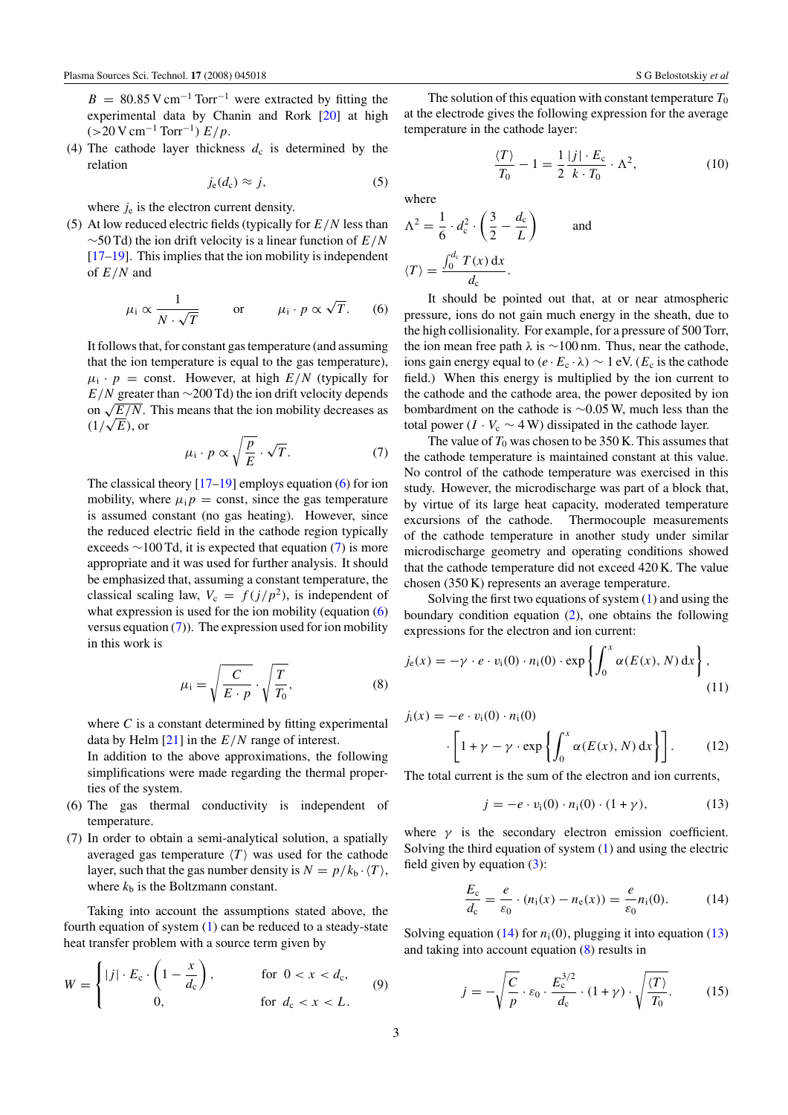<span id="page-2-0"></span> $B = 80.85$  V cm<sup>-1</sup> Torr<sup>-1</sup> were extracted by fitting the experimental data by Chanin and Rork [\[20\]](#page-5-0) at high  $(>20 \text{ V cm}^{-1} \text{ Torr}^{-1}) E/p.$ 

(4) The cathode layer thickness  $d_c$  is determined by the relation

$$
j_{\rm e}(d_{\rm c}) \approx j,\tag{5}
$$

where  $j_e$  is the electron current density.

(5) At low reduced electric fields (typically for *E/N* less than ∼50 Td) the ion drift velocity is a linear function of *E/N* [\[17–19\]](#page-5-0). This implies that the ion mobility is independent of *E/N* and

$$
\mu_{i} \propto \frac{1}{N \cdot \sqrt{T}}
$$
 or  $\mu_{i} \cdot p \propto \sqrt{T}$ . (6)

It follows that, for constant gas temperature (and assuming that the ion temperature is equal to the gas temperature),  $\mu_i \cdot p = \text{const.}$  However, at high  $E/N$  (typically for *E/N* greater than ∼200 Td) the ion drift velocity depends on  $\sqrt{E/N}$ . This means that the ion mobility decreases as  $\sqrt{2}/\sqrt{E}$ , or

$$
\mu_{\rm i} \cdot p \propto \sqrt{\frac{p}{E}} \cdot \sqrt{T}.\tag{7}
$$

The classical theory  $[17–19]$  employs equation (6) for ion mobility, where  $\mu_i p = \text{const}$ , since the gas temperature is assumed constant (no gas heating). However, since the reduced electric field in the cathode region typically exceeds ∼100 Td, it is expected that equation (7) is more appropriate and it was used for further analysis. It should be emphasized that, assuming a constant temperature, the classical scaling law,  $V_c = f(j/p^2)$ , is independent of what expression is used for the ion mobility (equation (6) versus equation  $(7)$ ). The expression used for ion mobility in this work is

$$
\mu_{\rm i} = \sqrt{\frac{C}{E \cdot p}} \cdot \sqrt{\frac{T}{T_0}},\tag{8}
$$

where  $C$  is a constant determined by fitting experimental data by Helm [\[21\]](#page-5-0) in the *E/N* range of interest.

In addition to the above approximations, the following simplifications were made regarding the thermal properties of the system.

- (6) The gas thermal conductivity is independent of temperature.
- (7) In order to obtain a semi-analytical solution, a spatially averaged gas temperature  $\langle T \rangle$  was used for the cathode layer, such that the gas number density is  $N = p/k_b \cdot \langle T \rangle$ , where  $k<sub>b</sub>$  is the Boltzmann constant.

Taking into account the assumptions stated above, the fourth equation of system [\(1\)](#page-1-0) can be reduced to a steady-state heat transfer problem with a source term given by

$$
W = \begin{cases} |j| \cdot E_c \cdot \left(1 - \frac{x}{d_c}\right), & \text{for } 0 < x < d_c, \\ 0, & \text{for } d_c < x < L. \end{cases} \tag{9}
$$

The solution of this equation with constant temperature  $T_0$ at the electrode gives the following expression for the average temperature in the cathode layer:

$$
\frac{\langle T \rangle}{T_0} - 1 = \frac{1}{2} \frac{|j| \cdot E_c}{k \cdot T_0} \cdot \Lambda^2,\tag{10}
$$

where

$$
\Lambda^{2} = \frac{1}{6} \cdot d_{c}^{2} \cdot \left(\frac{3}{2} - \frac{d_{c}}{L}\right) \quad \text{and}
$$

$$
\langle T \rangle = \frac{\int_{0}^{d_{c}} T(x) dx}{d_{c}}.
$$

It should be pointed out that, at or near atmospheric pressure, ions do not gain much energy in the sheath, due to the high collisionality. For example, for a pressure of 500 Torr, the ion mean free path  $\lambda$  is  $\sim$ 100 nm. Thus, near the cathode, ions gain energy equal to  $(e \cdot E_c \cdot \lambda) \sim 1$  eV. ( $E_c$  is the cathode field.) When this energy is multiplied by the ion current to the cathode and the cathode area, the power deposited by ion bombardment on the cathode is ∼0.05 W, much less than the total power ( $I \cdot V_c \sim 4$  W) dissipated in the cathode layer.

The value of  $T_0$  was chosen to be 350 K. This assumes that the cathode temperature is maintained constant at this value. No control of the cathode temperature was exercised in this study. However, the microdischarge was part of a block that, by virtue of its large heat capacity, moderated temperature excursions of the cathode. Thermocouple measurements of the cathode temperature in another study under similar microdischarge geometry and operating conditions showed that the cathode temperature did not exceed 420 K. The value chosen (350 K) represents an average temperature.

Solving the first two equations of system  $(1)$  and using the boundary condition equation [\(2\)](#page-1-0), one obtains the following expressions for the electron and ion current:

$$
j_{e}(x) = -\gamma \cdot e \cdot v_{i}(0) \cdot n_{i}(0) \cdot \exp\left\{\int_{0}^{x} \alpha(E(x), N) dx\right\},\tag{11}
$$

$$
j_i(x) = -e \cdot v_i(0) \cdot n_i(0)
$$

$$
\cdot \left[1 + \gamma - \gamma \cdot \exp\left\{\int_0^x \alpha(E(x), N) \, dx\right\}\right].
$$
 (12)

The total current is the sum of the electron and ion currents,

$$
j = -e \cdot v_i(0) \cdot n_i(0) \cdot (1 + \gamma), \tag{13}
$$

where  $\gamma$  is the secondary electron emission coefficient. Solving the third equation of system [\(1\)](#page-1-0) and using the electric field given by equation  $(3)$ :

$$
\frac{E_{\rm c}}{d_{\rm c}} = \frac{e}{\varepsilon_0} \cdot (n_{\rm i}(x) - n_{\rm e}(x)) = \frac{e}{\varepsilon_0} n_{\rm i}(0). \tag{14}
$$

Solving equation (14) for  $n_i(0)$ , plugging it into equation (13) and taking into account equation (8) results in

$$
j = -\sqrt{\frac{C}{p}} \cdot \varepsilon_0 \cdot \frac{E_c^{3/2}}{d_c} \cdot (1 + \gamma) \cdot \sqrt{\frac{\langle T \rangle}{T_0}}.
$$
 (15)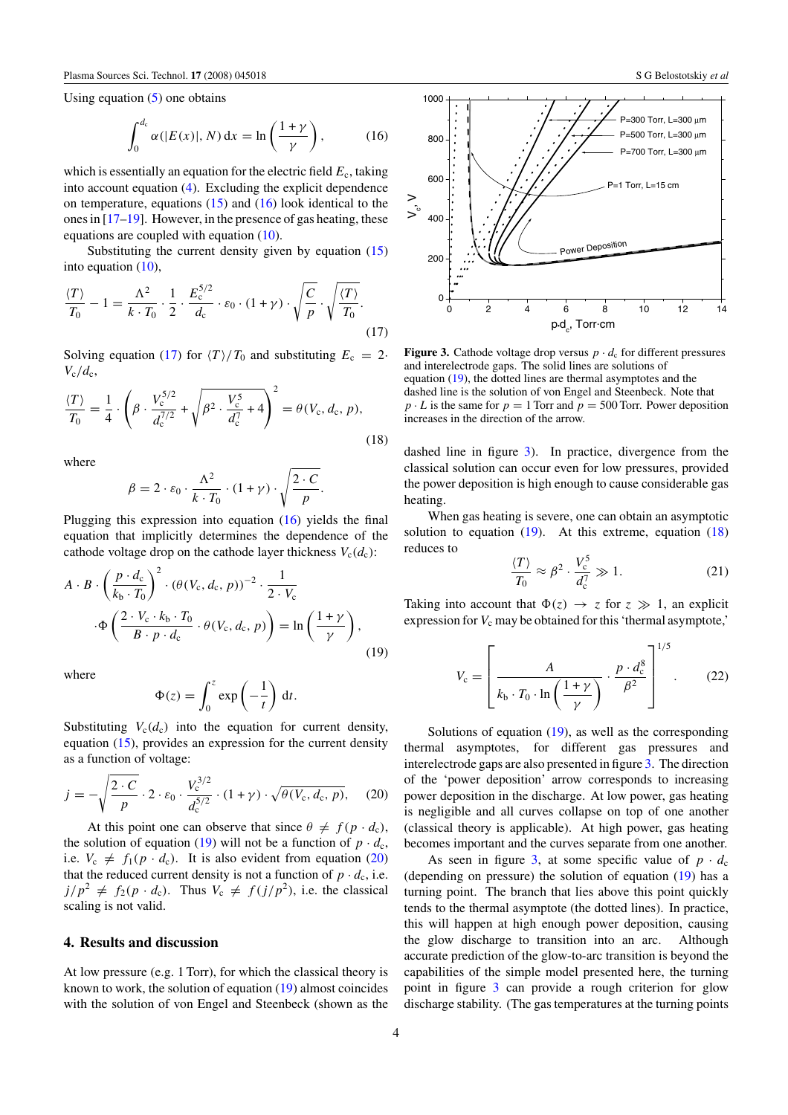<span id="page-3-0"></span>Using equation  $(5)$  one obtains

$$
\int_0^{d_c} \alpha(|E(x)|, N) dx = \ln\left(\frac{1+\gamma}{\gamma}\right), \quad (16)
$$

which is essentially an equation for the electric field  $E_c$ , taking into account equation [\(4\)](#page-1-0). Excluding the explicit dependence on temperature, equations  $(15)$  and  $(16)$  look identical to the ones in [\[17–19\]](#page-5-0). However, in the presence of gas heating, these equations are coupled with equation [\(10\)](#page-2-0).

Substituting the current density given by equation [\(15\)](#page-2-0) into equation  $(10)$ ,

$$
\frac{\langle T \rangle}{T_0} - 1 = \frac{\Lambda^2}{k \cdot T_0} \cdot \frac{1}{2} \cdot \frac{E_c^{5/2}}{d_c} \cdot \varepsilon_0 \cdot (1 + \gamma) \cdot \sqrt{\frac{C}{p}} \cdot \sqrt{\frac{\langle T \rangle}{T_0}}.
$$
\n(17)

Solving equation (17) for  $\langle T \rangle / T_0$  and substituting  $E_c = 2$ .  $V_c/d_c$ 

$$
\frac{\langle T \rangle}{T_0} = \frac{1}{4} \cdot \left( \beta \cdot \frac{V_c^{5/2}}{d_c^{7/2}} + \sqrt{\beta^2 \cdot \frac{V_c^5}{d_c^{7}} + 4} \right)^2 = \theta(V_c, d_c, p),\tag{18}
$$

where

$$
\beta = 2 \cdot \varepsilon_0 \cdot \frac{\Lambda^2}{k \cdot T_0} \cdot (1 + \gamma) \cdot \sqrt{\frac{2 \cdot C}{p}}.
$$

Plugging this expression into equation (16) yields the final equation that implicitly determines the dependence of the cathode voltage drop on the cathode layer thickness  $V_c(d_c)$ :

$$
A \cdot B \cdot \left(\frac{p \cdot d_c}{k_b \cdot T_0}\right)^2 \cdot (\theta(V_c, d_c, p))^{-2} \cdot \frac{1}{2 \cdot V_c}
$$

$$
\cdot \Phi \left(\frac{2 \cdot V_c \cdot k_b \cdot T_0}{B \cdot p \cdot d_c} \cdot \theta(V_c, d_c, p)\right) = \ln\left(\frac{1 + \gamma}{\gamma}\right),\tag{19}
$$

where

$$
\Phi(z) = \int_0^z \exp\left(-\frac{1}{t}\right) dt.
$$

Substituting  $V_c(d_c)$  into the equation for current density, equation [\(15\)](#page-2-0), provides an expression for the current density as a function of voltage:

$$
j = -\sqrt{\frac{2 \cdot C}{p}} \cdot 2 \cdot \varepsilon_0 \cdot \frac{V_c^{3/2}}{d_c^{5/2}} \cdot (1 + \gamma) \cdot \sqrt{\theta(V_c, d_c, p)}, \quad (20)
$$

At this point one can observe that since  $\theta \neq f(p \cdot d_c)$ , the solution of equation (19) will not be a function of  $p \cdot d_c$ , i.e.  $V_c \neq f_1(p \cdot d_c)$ . It is also evident from equation (20) that the reduced current density is not a function of  $p \cdot d_c$ , i.e.  $j/p^2 \neq f_2(p \cdot d_c)$ . Thus  $V_c \neq f(j/p^2)$ , i.e. the classical scaling is not valid.

#### **4. Results and discussion**

At low pressure (e.g. 1 Torr), for which the classical theory is known to work, the solution of equation (19) almost coincides with the solution of von Engel and Steenbeck (shown as the



**Figure 3.** Cathode voltage drop versus  $p \cdot d_c$  for different pressures and interelectrode gaps. The solid lines are solutions of equation (19), the dotted lines are thermal asymptotes and the dashed line is the solution of von Engel and Steenbeck. Note that  $p \cdot L$  is the same for  $p = 1$  Torr and  $p = 500$  Torr. Power deposition increases in the direction of the arrow.

dashed line in figure 3). In practice, divergence from the classical solution can occur even for low pressures, provided the power deposition is high enough to cause considerable gas heating.

When gas heating is severe, one can obtain an asymptotic solution to equation  $(19)$ . At this extreme, equation  $(18)$ reduces to

$$
\frac{\langle T \rangle}{T_0} \approx \beta^2 \cdot \frac{V_c^5}{d_c^7} \gg 1.
$$
 (21)

Taking into account that  $\Phi(z) \to z$  for  $z \gg 1$ , an explicit expression for  $V_c$  may be obtained for this 'thermal asymptote,'

$$
V_{\rm c} = \left[ \frac{A}{k_{\rm b} \cdot T_0 \cdot \ln\left(\frac{1+\gamma}{\gamma}\right)} \cdot \frac{p \cdot d_{\rm c}^8}{\beta^2} \right]^{1/5}.
$$
 (22)

Solutions of equation  $(19)$ , as well as the corresponding thermal asymptotes, for different gas pressures and interelectrode gaps are also presented in figure 3. The direction of the 'power deposition' arrow corresponds to increasing power deposition in the discharge. At low power, gas heating is negligible and all curves collapse on top of one another (classical theory is applicable). At high power, gas heating becomes important and the curves separate from one another.

As seen in figure 3, at some specific value of  $p \cdot d_c$ (depending on pressure) the solution of equation (19) has a turning point. The branch that lies above this point quickly tends to the thermal asymptote (the dotted lines). In practice, this will happen at high enough power deposition, causing the glow discharge to transition into an arc. Although accurate prediction of the glow-to-arc transition is beyond the capabilities of the simple model presented here, the turning point in figure 3 can provide a rough criterion for glow discharge stability. (The gas temperatures at the turning points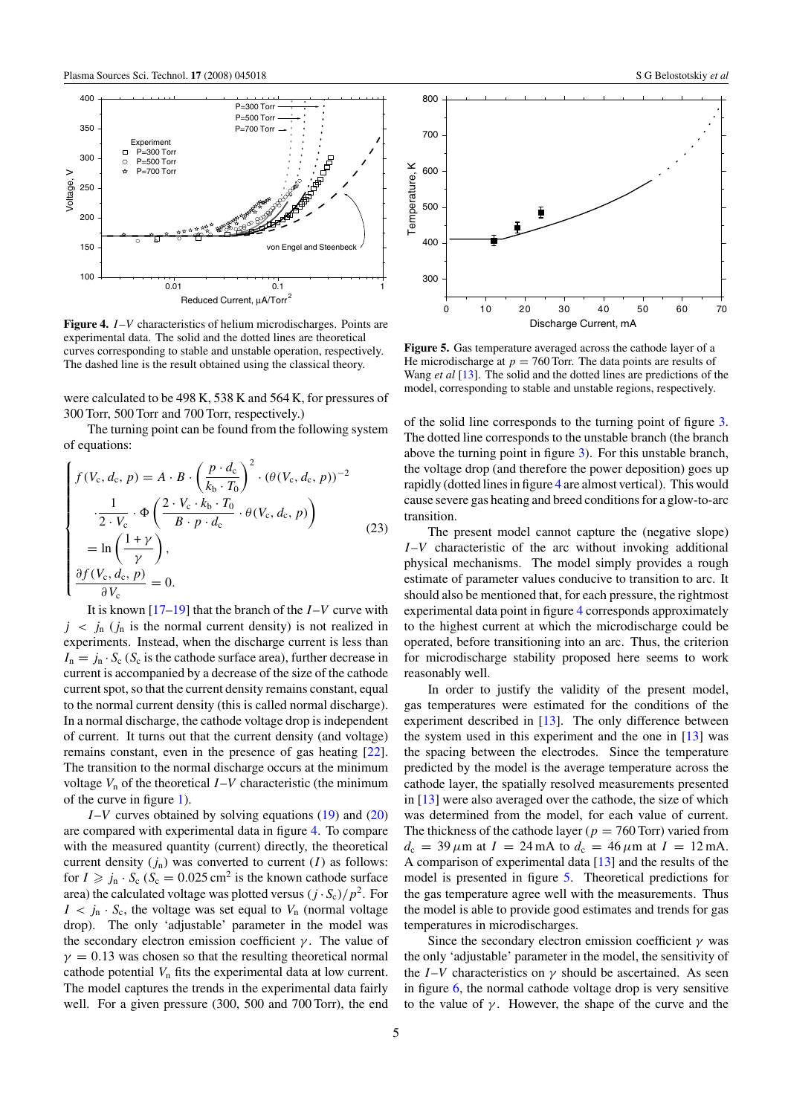<span id="page-4-0"></span>

**Figure 4.** *I*–*V* characteristics of helium microdischarges. Points are experimental data. The solid and the dotted lines are theoretical curves corresponding to stable and unstable operation, respectively. The dashed line is the result obtained using the classical theory.

were calculated to be 498 K, 538 K and 564 K, for pressures of 300 Torr, 500 Torr and 700 Torr, respectively.)

The turning point can be found from the following system of equations:

$$
\begin{cases}\nf(V_c, d_c, p) = A \cdot B \cdot \left(\frac{p \cdot d_c}{k_b \cdot T_0}\right)^2 \cdot (\theta(V_c, d_c, p))^{-2} \\
\cdot \frac{1}{2 \cdot V_c} \cdot \Phi \left(\frac{2 \cdot V_c \cdot k_b \cdot T_0}{B \cdot p \cdot d_c} \cdot \theta(V_c, d_c, p)\right) \\
= \ln \left(\frac{1 + \gamma}{\gamma}\right), \\
\frac{\partial f(V_c, d_c, p)}{\partial V_c} = 0.\n\end{cases} \tag{23}
$$

It is known [\[17–19\]](#page-5-0) that the branch of the *I*–*V* curve with  $j \, \langle j_n \rangle$  (*j<sub>n</sub>* is the normal current density) is not realized in experiments. Instead, when the discharge current is less than  $I_n = j_n \cdot S_c$  ( $S_c$  is the cathode surface area), further decrease in current is accompanied by a decrease of the size of the cathode current spot, so that the current density remains constant, equal to the normal current density (this is called normal discharge). In a normal discharge, the cathode voltage drop is independent of current. It turns out that the current density (and voltage) remains constant, even in the presence of gas heating [\[22\]](#page-5-0). The transition to the normal discharge occurs at the minimum voltage  $V_n$  of the theoretical  $I-V$  characteristic (the minimum of the curve in figure [1\)](#page-0-0).

*I*–*V* curves obtained by solving equations [\(19\)](#page-3-0) and [\(20\)](#page-3-0) are compared with experimental data in figure 4. To compare with the measured quantity (current) directly, the theoretical current density  $(j_n)$  was converted to current  $(I)$  as follows: for  $I \ge j_n \cdot S_c$  ( $S_c = 0.025$  cm<sup>2</sup> is the known cathode surface area) the calculated voltage was plotted versus  $(j \cdot S_c)/p^2$ . For  $I \le j_n \cdot S_c$ , the voltage was set equal to  $V_n$  (normal voltage drop). The only 'adjustable' parameter in the model was the secondary electron emission coefficient  $\gamma$ . The value of  $\gamma = 0.13$  was chosen so that the resulting theoretical normal cathode potential *V*<sup>n</sup> fits the experimental data at low current. The model captures the trends in the experimental data fairly well. For a given pressure (300, 500 and 700 Torr), the end



**Figure 5.** Gas temperature averaged across the cathode layer of a He microdischarge at  $p = 760$  Torr. The data points are results of Wang *et al* [\[13\]](#page-5-0). The solid and the dotted lines are predictions of the model, corresponding to stable and unstable regions, respectively.

of the solid line corresponds to the turning point of figure [3.](#page-3-0) The dotted line corresponds to the unstable branch (the branch above the turning point in figure [3\)](#page-3-0). For this unstable branch, the voltage drop (and therefore the power deposition) goes up rapidly (dotted lines in figure 4 are almost vertical). This would cause severe gas heating and breed conditions for a glow-to-arc transition.

The present model cannot capture the (negative slope) *I*–*V* characteristic of the arc without invoking additional physical mechanisms. The model simply provides a rough estimate of parameter values conducive to transition to arc. It should also be mentioned that, for each pressure, the rightmost experimental data point in figure 4 corresponds approximately to the highest current at which the microdischarge could be operated, before transitioning into an arc. Thus, the criterion for microdischarge stability proposed here seems to work reasonably well.

In order to justify the validity of the present model, gas temperatures were estimated for the conditions of the experiment described in [\[13\]](#page-5-0). The only difference between the system used in this experiment and the one in  $[13]$  was the spacing between the electrodes. Since the temperature predicted by the model is the average temperature across the cathode layer, the spatially resolved measurements presented in [\[13\]](#page-5-0) were also averaged over the cathode, the size of which was determined from the model, for each value of current. The thickness of the cathode layer ( $p = 760$  Torr) varied from  $d_c = 39 \,\mu \text{m}$  at  $I = 24 \,\text{mA}$  to  $d_c = 46 \,\mu \text{m}$  at  $I = 12 \,\text{mA}$ . A comparison of experimental data [\[13\]](#page-5-0) and the results of the model is presented in figure 5. Theoretical predictions for the gas temperature agree well with the measurements. Thus the model is able to provide good estimates and trends for gas temperatures in microdischarges.

Since the secondary electron emission coefficient *γ* was the only 'adjustable' parameter in the model, the sensitivity of the *I*–*V* characteristics on  $\gamma$  should be ascertained. As seen in figure [6,](#page-5-0) the normal cathode voltage drop is very sensitive to the value of  $\gamma$ . However, the shape of the curve and the